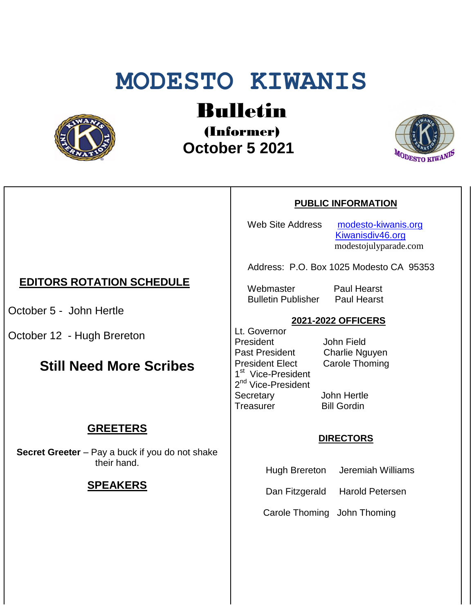# **MODESTO KIWANIS**



# Bulletin

(Informer)  **October 5 2021**



#### **PUBLIC INFORMATION**

Web Site Address [modesto-kiwanis.org](http://modesto-kiwanis.org/) [Kiwanisdiv46.org](http://www.kiwanisdiv46.org/) modestojulyparade.com

Address: P.O. Box 1025 Modesto CA 95353

 Webmaster Paul Hearst Bulletin Publisher Paul Hearst

#### **2021-2022 OFFICERS**

Lt. Governor President John Field Past President Charlie Nguyen President Elect Carole Thoming 1<sup>st</sup> Vice-President 2<sup>nd</sup> Vice-President Secretary John Hertle Treasurer Bill Gordin

#### **DIRECTORS**

Hugh Brereton Jeremiah Williams

Dan Fitzgerald Harold Petersen

Carole Thoming John Thoming

## **EDITORS ROTATION SCHEDULE**

October 5 - John Hertle

October 12 - Hugh Brereton

# **Still Need More Scribes**

## **GREETERS**

**Secret Greeter** – Pay a buck if you do not shake their hand.

#### **SPEAKERS**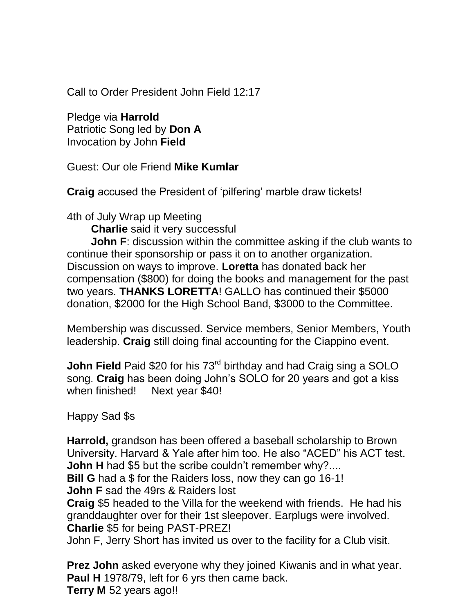Call to Order President John Field 12:17

Pledge via **Harrold** Patriotic Song led by **Don A** Invocation by John **Field**

Guest: Our ole Friend **Mike Kumlar**

**Craig** accused the President of 'pilfering' marble draw tickets!

4th of July Wrap up Meeting

 **Charlie** said it very successful

**John F**: discussion within the committee asking if the club wants to continue their sponsorship or pass it on to another organization. Discussion on ways to improve. **Loretta** has donated back her compensation (\$800) for doing the books and management for the past two years. **THANKS LORETTA**! GALLO has continued their \$5000 donation, \$2000 for the High School Band, \$3000 to the Committee.

Membership was discussed. Service members, Senior Members, Youth leadership. **Craig** still doing final accounting for the Ciappino event.

**John Field** Paid \$20 for his 73<sup>rd</sup> birthday and had Craig sing a SOLO song. **Craig** has been doing John's SOLO for 20 years and got a kiss when finished! Next year \$40!

Happy Sad \$s

**Harrold,** grandson has been offered a baseball scholarship to Brown University. Harvard & Yale after him too. He also "ACED" his ACT test. **John H** had \$5 but the scribe couldn't remember why?....

**Bill G** had a \$ for the Raiders loss, now they can go 16-1! **John F** sad the 49rs & Raiders lost

**Craig** \$5 headed to the Villa for the weekend with friends. He had his granddaughter over for their 1st sleepover. Earplugs were involved. **Charlie** \$5 for being PAST-PREZ!

John F, Jerry Short has invited us over to the facility for a Club visit.

**Prez John** asked everyone why they joined Kiwanis and in what year. **Paul H** 1978/79, left for 6 yrs then came back. **Terry M** 52 years ago!!